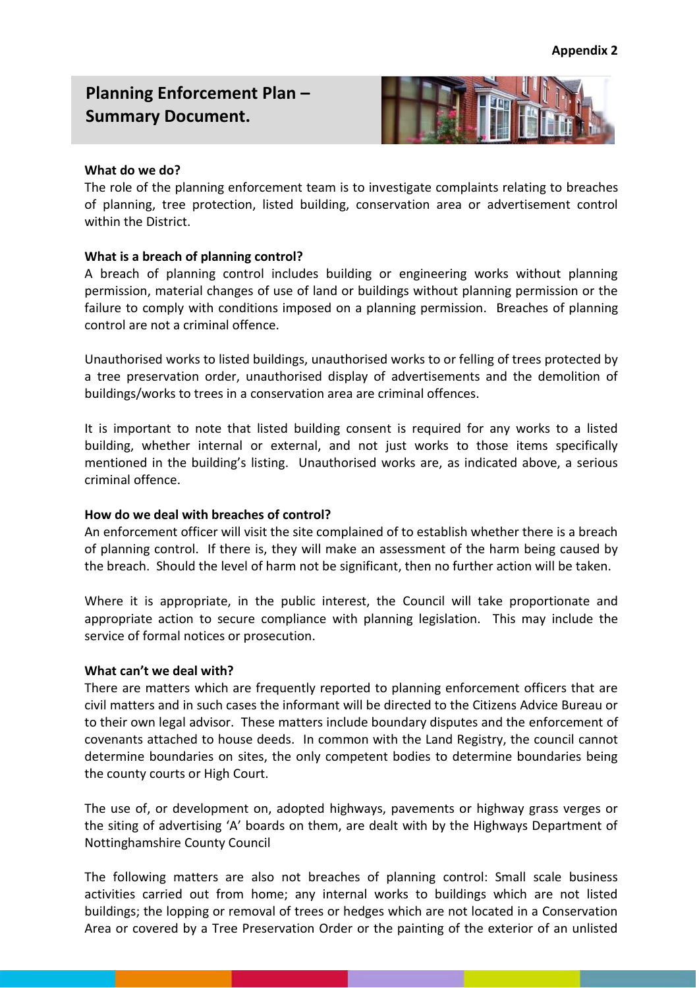# **Planning Enforcement Plan – Summary Document.**



### **What do we do?**

The role of the planning enforcement team is to investigate complaints relating to breaches of planning, tree protection, listed building, conservation area or advertisement control within the District.

## **What is a breach of planning control?**

A breach of planning control includes building or engineering works without planning permission, material changes of use of land or buildings without planning permission or the failure to comply with conditions imposed on a planning permission. Breaches of planning control are not a criminal offence.

Unauthorised works to listed buildings, unauthorised works to or felling of trees protected by a tree preservation order, unauthorised display of advertisements and the demolition of buildings/works to trees in a conservation area are criminal offences.

It is important to note that listed building consent is required for any works to a listed building, whether internal or external, and not just works to those items specifically mentioned in the building's listing. Unauthorised works are, as indicated above, a serious criminal offence.

#### **How do we deal with breaches of control?**

An enforcement officer will visit the site complained of to establish whether there is a breach of planning control. If there is, they will make an assessment of the harm being caused by the breach. Should the level of harm not be significant, then no further action will be taken.

Where it is appropriate, in the public interest, the Council will take proportionate and appropriate action to secure compliance with planning legislation. This may include the service of formal notices or prosecution.

#### **What can't we deal with?**

There are matters which are frequently reported to planning enforcement officers that are civil matters and in such cases the informant will be directed to the Citizens Advice Bureau or to their own legal advisor. These matters include boundary disputes and the enforcement of covenants attached to house deeds. In common with the Land Registry, the council cannot determine boundaries on sites, the only competent bodies to determine boundaries being the county courts or High Court.

The use of, or development on, adopted highways, pavements or highway grass verges or the siting of advertising 'A' boards on them, are dealt with by the Highways Department of Nottinghamshire County Council

The following matters are also not breaches of planning control: Small scale business activities carried out from home; any internal works to buildings which are not listed buildings; the lopping or removal of trees or hedges which are not located in a Conservation Area or covered by a Tree Preservation Order or the painting of the exterior of an unlisted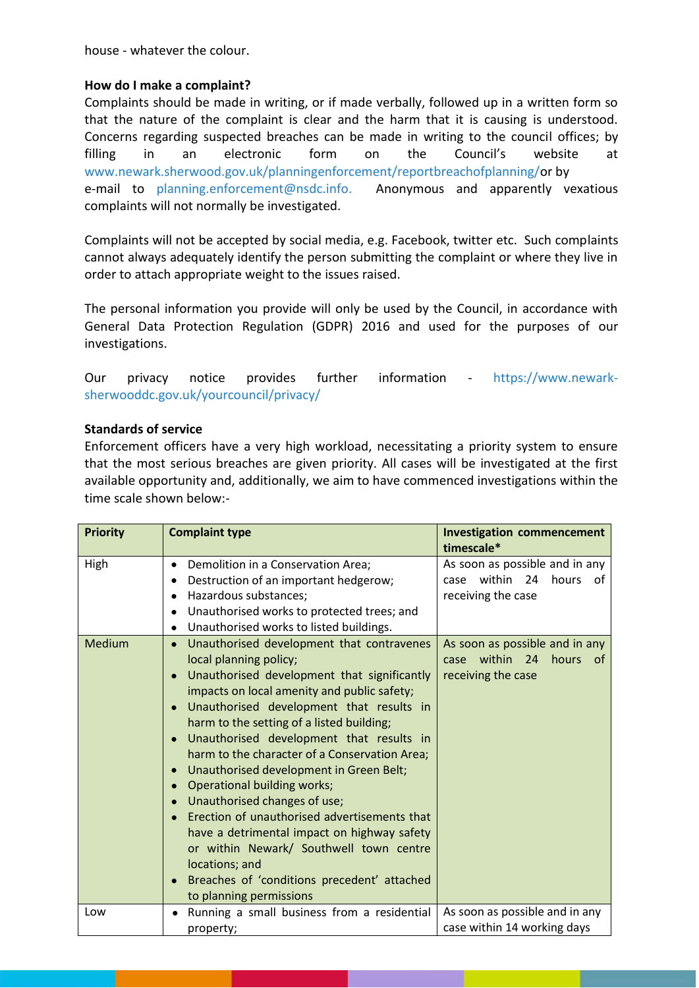house - whatever the colour.

## **How do I make a complaint?**

Complaints should be made in writing, or if made verbally, followed up in a written form so that the nature of the complaint is clear and the harm that it is causing is understood. Concerns regarding suspected breaches can be made in writing to the council offices; by filling in an electronic form on the Council's website at [www.newark.sherwood.gov.uk/planningenforcement/reportbreachofplanning/o](http://www.newark.sherwood.gov.uk/planningenforcement/reportbreachofplanning/)r by e-mail to [planning.enforcement@nsdc.info.](mailto:planning.enforcement@nsdc.info) Anonymous and apparently vexatious complaints will not normally be investigated.

Complaints will not be accepted by social media, e.g. Facebook, twitter etc. Such complaints cannot always adequately identify the person submitting the complaint or where they live in order to attach appropriate weight to the issues raised.

The personal information you provide will only be used by the Council, in accordance with General Data Protection Regulation (GDPR) 2016 and used for the purposes of our investigations.

Our privacy notice provides further information - [https://www.newark](https://www.newark-sherwooddc.gov.uk/yourcouncil/privacy/)[sherwooddc.gov.uk/yourcouncil/privacy/](https://www.newark-sherwooddc.gov.uk/yourcouncil/privacy/)

## **Standards of service**

Enforcement officers have a very high workload, necessitating a priority system to ensure that the most serious breaches are given priority. All cases will be investigated at the first available opportunity and, additionally, we aim to have commenced investigations within the time scale shown below:-

| <b>Priority</b> | <b>Complaint type</b>                                                                                                                                                                                                                                                                                                                                                                                                                                                                                                                                                                                                                                                                                                                                                                              | <b>Investigation commencement</b><br>timescale*                                             |
|-----------------|----------------------------------------------------------------------------------------------------------------------------------------------------------------------------------------------------------------------------------------------------------------------------------------------------------------------------------------------------------------------------------------------------------------------------------------------------------------------------------------------------------------------------------------------------------------------------------------------------------------------------------------------------------------------------------------------------------------------------------------------------------------------------------------------------|---------------------------------------------------------------------------------------------|
| High            | Demolition in a Conservation Area;<br>$\bullet$<br>Destruction of an important hedgerow;<br>$\bullet$<br>Hazardous substances;<br>$\bullet$<br>Unauthorised works to protected trees; and<br>$\bullet$<br>Unauthorised works to listed buildings.<br>$\bullet$                                                                                                                                                                                                                                                                                                                                                                                                                                                                                                                                     | As soon as possible and in any<br>within<br>24<br>hours<br>case<br>of<br>receiving the case |
| <b>Medium</b>   | Unauthorised development that contravenes<br>$\bullet$<br>local planning policy;<br>Unauthorised development that significantly<br>$\bullet$<br>impacts on local amenity and public safety;<br>Unauthorised development that results in<br>$\bullet$<br>harm to the setting of a listed building;<br>Unauthorised development that results in<br>$\bullet$<br>harm to the character of a Conservation Area;<br>Unauthorised development in Green Belt;<br>$\bullet$<br>Operational building works;<br>$\bullet$<br>Unauthorised changes of use;<br>$\bullet$<br>Erection of unauthorised advertisements that<br>have a detrimental impact on highway safety<br>or within Newark/ Southwell town centre<br>locations; and<br>Breaches of 'conditions precedent' attached<br>to planning permissions | As soon as possible and in any<br>case within 24<br>hours<br>of<br>receiving the case       |
| Low             | Running a small business from a residential<br>$\bullet$<br>property;                                                                                                                                                                                                                                                                                                                                                                                                                                                                                                                                                                                                                                                                                                                              | As soon as possible and in any<br>case within 14 working days                               |